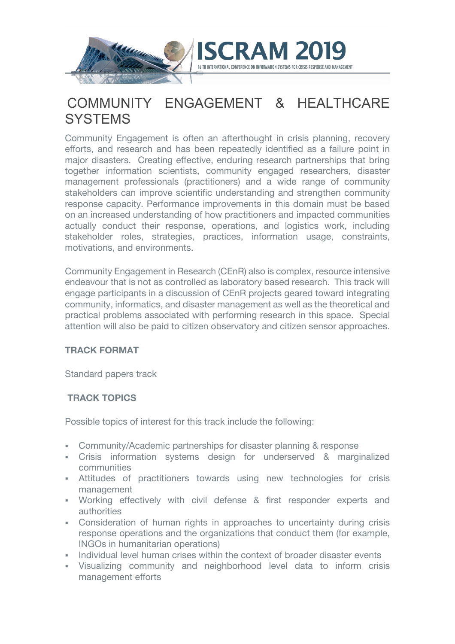

# COMMUNITY ENGAGEMENT & HEALTHCARE **SYSTEMS**

Community Engagement is often an afterthought in crisis planning, recovery efforts, and research and has been repeatedly identified as a failure point in major disasters. Creating effective, enduring research partnerships that bring together information scientists, community engaged researchers, disaster management professionals (practitioners) and a wide range of community stakeholders can improve scientific understanding and strengthen community response capacity. Performance improvements in this domain must be based on an increased understanding of how practitioners and impacted communities actually conduct their response, operations, and logistics work, including stakeholder roles, strategies, practices, information usage, constraints, motivations, and environments.

Community Engagement in Research (CEnR) also is complex, resource intensive endeavour that is not as controlled as laboratory based research. This track will engage participants in a discussion of CEnR projects geared toward integrating community, informatics, and disaster management as well as the theoretical and practical problems associated with performing research in this space. Special attention will also be paid to citizen observatory and citizen sensor approaches.

## **TRACK FORMAT**

Standard papers track

# **TRACK TOPICS**

Possible topics of interest for this track include the following:

- § Community/Academic partnerships for disaster planning & response
- Crisis information systems design for underserved & marginalized communities
- § Attitudes of practitioners towards using new technologies for crisis management
- § Working effectively with civil defense & first responder experts and authorities
- Consideration of human rights in approaches to uncertainty during crisis response operations and the organizations that conduct them (for example, INGOs in humanitarian operations)
- **Individual level human crises within the context of broader disaster events**
- Visualizing community and neighborhood level data to inform crisis management efforts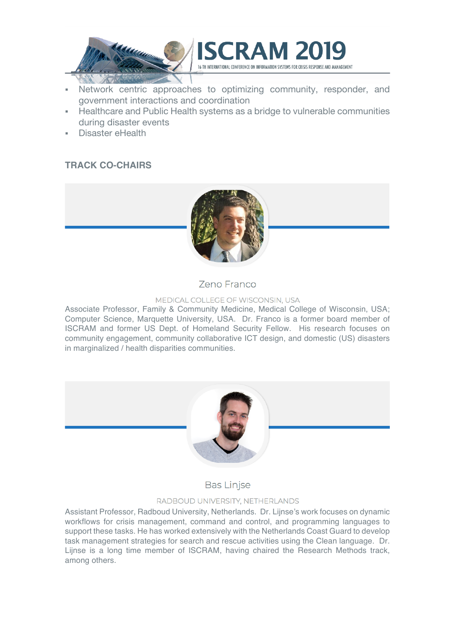

- Network centric approaches to optimizing community, responder, and government interactions and coordination
- § Healthcare and Public Health systems as a bridge to vulnerable communities during disaster events
- § Disaster eHealth

# **TRACK CO-CHAIRS**



**Zeno Franco** 

#### MEDICAL COLLEGE OF WISCONSIN, USA

Associate Professor, Family & Community Medicine, Medical College of Wisconsin, USA; Computer Science, Marquette University, USA. Dr. Franco is a former board member of ISCRAM and former US Dept. of Homeland Security Fellow. His research focuses on community engagement, community collaborative ICT design, and domestic (US) disasters in marginalized / health disparities communities.



**Bas Linjse** 

#### RADBOUD UNIVERSITY, NETHERLANDS

Assistant Professor, Radboud University, Netherlands. Dr. Lijnse's work focuses on dynamic workflows for crisis management, command and control, and programming languages to support these tasks. He has worked extensively with the Netherlands Coast Guard to develop task management strategies for search and rescue activities using the Clean language. Dr. Lijnse is a long time member of ISCRAM, having chaired the Research Methods track, among others.